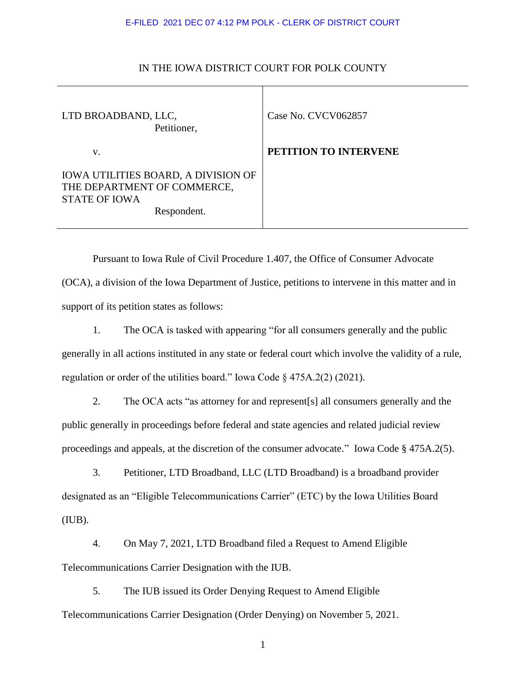## E-FILED 2021 DEC 07 4:12 PM POLK - CLERK OF DISTRICT COURT

| LTD BROADBAND, LLC,<br>Petitioner,                                                                               | Case No. CVCV062857   |
|------------------------------------------------------------------------------------------------------------------|-----------------------|
| V.                                                                                                               | PETITION TO INTERVENE |
| <b>IOWA UTILITIES BOARD, A DIVISION OF</b><br>THE DEPARTMENT OF COMMERCE,<br><b>STATE OF IOWA</b><br>Respondent. |                       |

## IN THE IOWA DISTRICT COURT FOR POLK COUNTY

Pursuant to Iowa Rule of Civil Procedure 1.407, the Office of Consumer Advocate (OCA), a division of the Iowa Department of Justice, petitions to intervene in this matter and in support of its petition states as follows:

1. The OCA is tasked with appearing "for all consumers generally and the public generally in all actions instituted in any state or federal court which involve the validity of a rule, regulation or order of the utilities board." Iowa Code § 475A.2(2) (2021).

2. The OCA acts "as attorney for and represent[s] all consumers generally and the public generally in proceedings before federal and state agencies and related judicial review proceedings and appeals, at the discretion of the consumer advocate." Iowa Code § 475A.2(5).

3. Petitioner, LTD Broadband, LLC (LTD Broadband) is a broadband provider designated as an "Eligible Telecommunications Carrier" (ETC) by the Iowa Utilities Board (IUB).

4. On May 7, 2021, LTD Broadband filed a Request to Amend Eligible Telecommunications Carrier Designation with the IUB.

5. The IUB issued its Order Denying Request to Amend Eligible Telecommunications Carrier Designation (Order Denying) on November 5, 2021.

1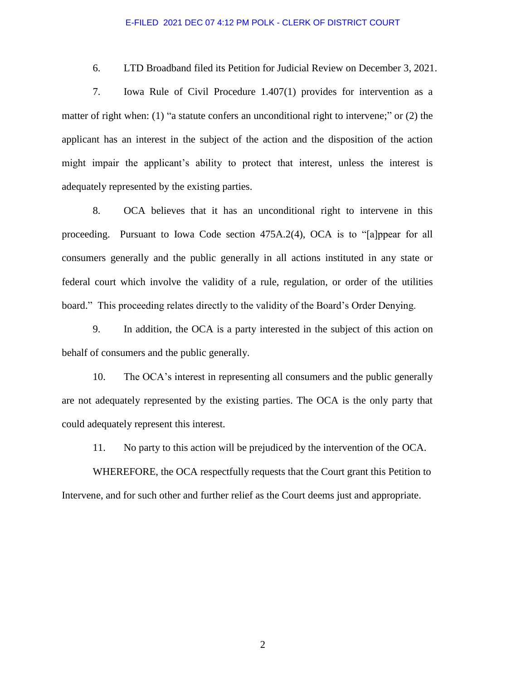## E-FILED 2021 DEC 07 4:12 PM POLK - CLERK OF DISTRICT COURT

6. LTD Broadband filed its Petition for Judicial Review on December 3, 2021.

7. Iowa Rule of Civil Procedure 1.407(1) provides for intervention as a matter of right when: (1) "a statute confers an unconditional right to intervene;" or (2) the applicant has an interest in the subject of the action and the disposition of the action might impair the applicant's ability to protect that interest, unless the interest is adequately represented by the existing parties.

8. OCA believes that it has an unconditional right to intervene in this proceeding. Pursuant to Iowa Code section 475A.2(4), OCA is to "[a]ppear for all consumers generally and the public generally in all actions instituted in any state or federal court which involve the validity of a rule, regulation, or order of the utilities board." This proceeding relates directly to the validity of the Board's Order Denying.

9. In addition, the OCA is a party interested in the subject of this action on behalf of consumers and the public generally.

10. The OCA's interest in representing all consumers and the public generally are not adequately represented by the existing parties. The OCA is the only party that could adequately represent this interest.

11. No party to this action will be prejudiced by the intervention of the OCA.

WHEREFORE, the OCA respectfully requests that the Court grant this Petition to Intervene, and for such other and further relief as the Court deems just and appropriate.

2